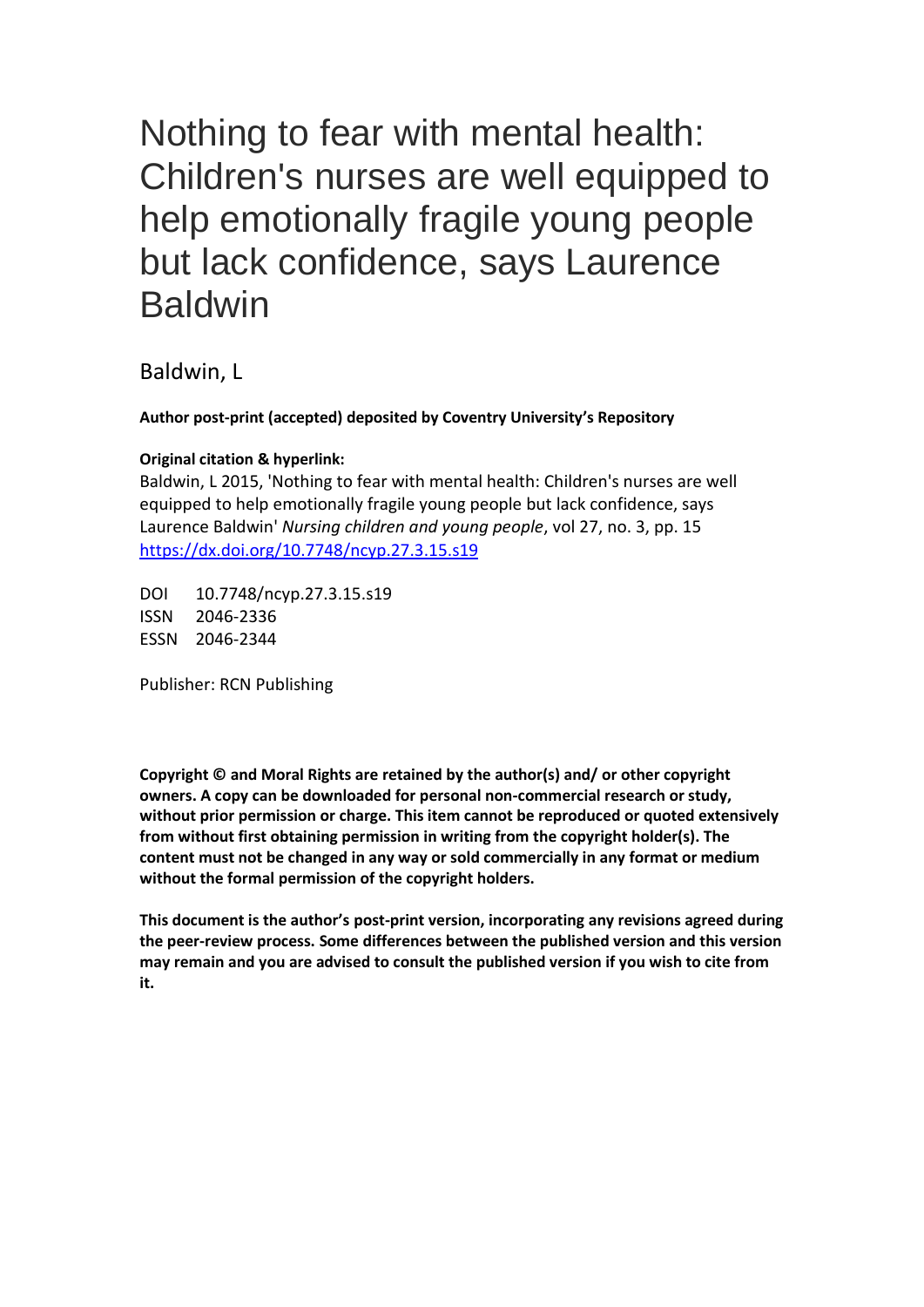Nothing to fear with mental health: Children's nurses are well equipped to help emotionally fragile young people but lack confidence, says Laurence Baldwin

Baldwin, L

## **Author post-print (accepted) deposited by Coventry University's Repository**

## **Original citation & hyperlink:**

Baldwin, L 2015, 'Nothing to fear with mental health: Children's nurses are well equipped to help emotionally fragile young people but lack confidence, says Laurence Baldwin' *Nursing children and young people*, vol 27, no. 3, pp. 15 <https://dx.doi.org/10.7748/ncyp.27.3.15.s19>

DOI 10.7748/ncyp.27.3.15.s19 ISSN 2046-2336 ESSN 2046-2344

Publisher: RCN Publishing

**Copyright © and Moral Rights are retained by the author(s) and/ or other copyright owners. A copy can be downloaded for personal non-commercial research or study, without prior permission or charge. This item cannot be reproduced or quoted extensively from without first obtaining permission in writing from the copyright holder(s). The content must not be changed in any way or sold commercially in any format or medium without the formal permission of the copyright holders.** 

**This document is the author's post-print version, incorporating any revisions agreed during the peer-review process. Some differences between the published version and this version may remain and you are advised to consult the published version if you wish to cite from it.**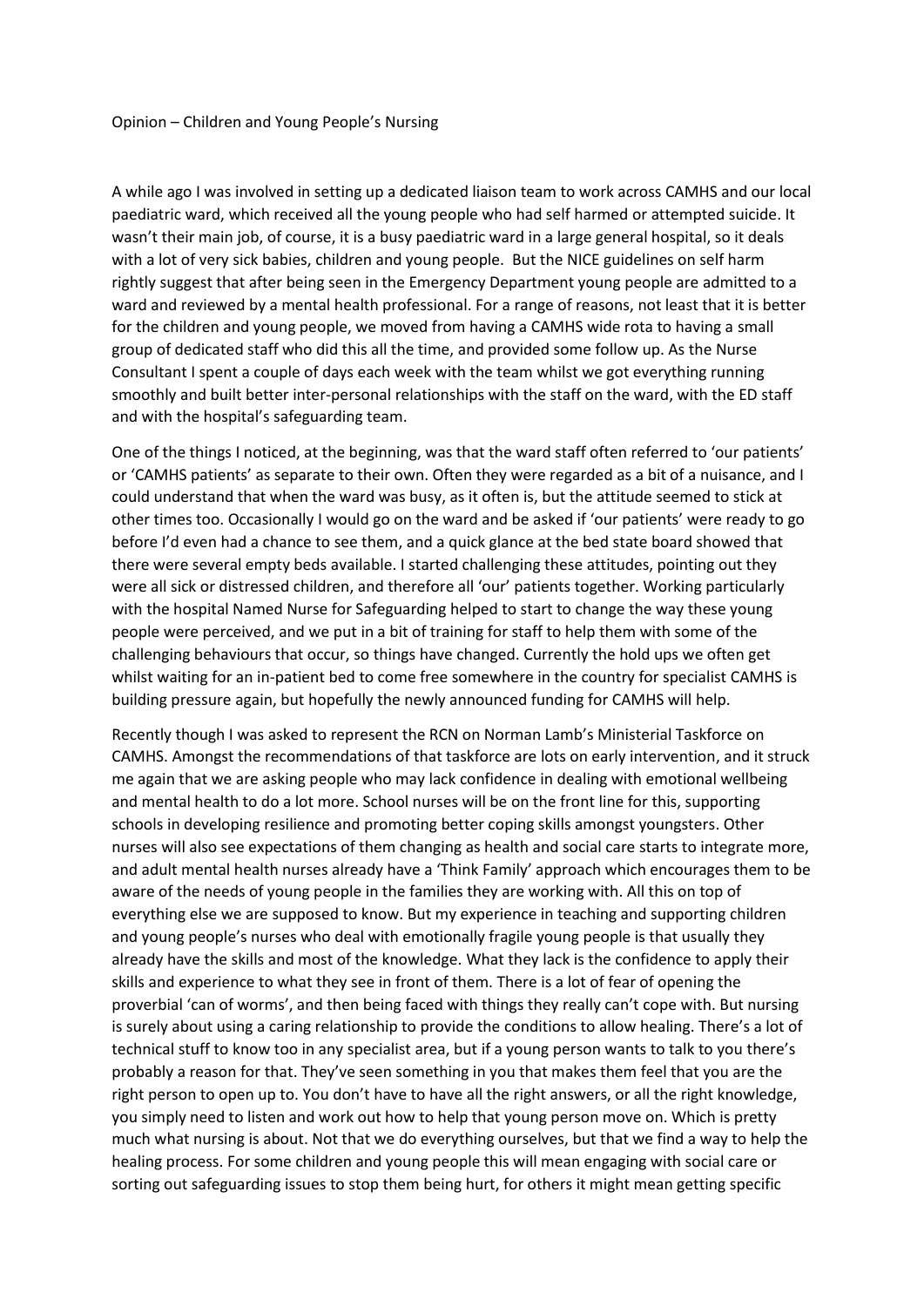A while ago I was involved in setting up a dedicated liaison team to work across CAMHS and our local paediatric ward, which received all the young people who had self harmed or attempted suicide. It wasn't their main job, of course, it is a busy paediatric ward in a large general hospital, so it deals with a lot of very sick babies, children and young people. But the NICE guidelines on self harm rightly suggest that after being seen in the Emergency Department young people are admitted to a ward and reviewed by a mental health professional. For a range of reasons, not least that it is better for the children and young people, we moved from having a CAMHS wide rota to having a small group of dedicated staff who did this all the time, and provided some follow up. As the Nurse Consultant I spent a couple of days each week with the team whilst we got everything running smoothly and built better inter-personal relationships with the staff on the ward, with the ED staff and with the hospital's safeguarding team.

One of the things I noticed, at the beginning, was that the ward staff often referred to 'our patients' or 'CAMHS patients' as separate to their own. Often they were regarded as a bit of a nuisance, and I could understand that when the ward was busy, as it often is, but the attitude seemed to stick at other times too. Occasionally I would go on the ward and be asked if 'our patients' were ready to go before I'd even had a chance to see them, and a quick glance at the bed state board showed that there were several empty beds available. I started challenging these attitudes, pointing out they were all sick or distressed children, and therefore all 'our' patients together. Working particularly with the hospital Named Nurse for Safeguarding helped to start to change the way these young people were perceived, and we put in a bit of training for staff to help them with some of the challenging behaviours that occur, so things have changed. Currently the hold ups we often get whilst waiting for an in-patient bed to come free somewhere in the country for specialist CAMHS is building pressure again, but hopefully the newly announced funding for CAMHS will help.

Recently though I was asked to represent the RCN on Norman Lamb's Ministerial Taskforce on CAMHS. Amongst the recommendations of that taskforce are lots on early intervention, and it struck me again that we are asking people who may lack confidence in dealing with emotional wellbeing and mental health to do a lot more. School nurses will be on the front line for this, supporting schools in developing resilience and promoting better coping skills amongst youngsters. Other nurses will also see expectations of them changing as health and social care starts to integrate more, and adult mental health nurses already have a 'Think Family' approach which encourages them to be aware of the needs of young people in the families they are working with. All this on top of everything else we are supposed to know. But my experience in teaching and supporting children and young people's nurses who deal with emotionally fragile young people is that usually they already have the skills and most of the knowledge. What they lack is the confidence to apply their skills and experience to what they see in front of them. There is a lot of fear of opening the proverbial 'can of worms', and then being faced with things they really can't cope with. But nursing is surely about using a caring relationship to provide the conditions to allow healing. There's a lot of technical stuff to know too in any specialist area, but if a young person wants to talk to you there's probably a reason for that. They've seen something in you that makes them feel that you are the right person to open up to. You don't have to have all the right answers, or all the right knowledge, you simply need to listen and work out how to help that young person move on. Which is pretty much what nursing is about. Not that we do everything ourselves, but that we find a way to help the healing process. For some children and young people this will mean engaging with social care or sorting out safeguarding issues to stop them being hurt, for others it might mean getting specific